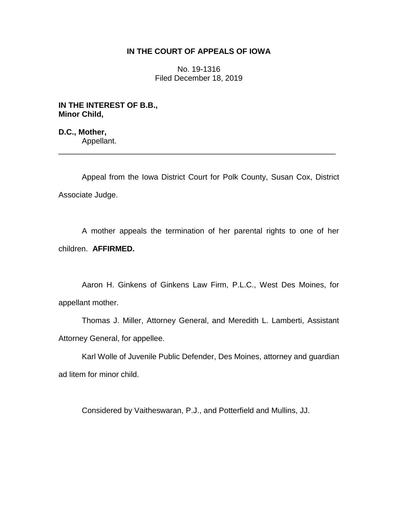## **IN THE COURT OF APPEALS OF IOWA**

No. 19-1316 Filed December 18, 2019

**IN THE INTEREST OF B.B., Minor Child,**

**D.C., Mother,** Appellant.

Appeal from the Iowa District Court for Polk County, Susan Cox, District Associate Judge.

\_\_\_\_\_\_\_\_\_\_\_\_\_\_\_\_\_\_\_\_\_\_\_\_\_\_\_\_\_\_\_\_\_\_\_\_\_\_\_\_\_\_\_\_\_\_\_\_\_\_\_\_\_\_\_\_\_\_\_\_\_\_\_\_

A mother appeals the termination of her parental rights to one of her children. **AFFIRMED.**

Aaron H. Ginkens of Ginkens Law Firm, P.L.C., West Des Moines, for appellant mother.

Thomas J. Miller, Attorney General, and Meredith L. Lamberti, Assistant Attorney General, for appellee.

Karl Wolle of Juvenile Public Defender, Des Moines, attorney and guardian ad litem for minor child.

Considered by Vaitheswaran, P.J., and Potterfield and Mullins, JJ.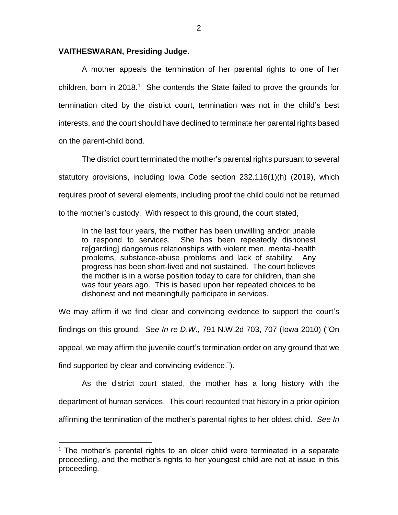## **VAITHESWARAN, Presiding Judge.**

 $\overline{a}$ 

A mother appeals the termination of her parental rights to one of her children, born in 2018.<sup>1</sup> She contends the State failed to prove the grounds for termination cited by the district court, termination was not in the child's best interests, and the court should have declined to terminate her parental rights based on the parent-child bond.

The district court terminated the mother's parental rights pursuant to several statutory provisions, including Iowa Code section 232.116(1)(h) (2019), which requires proof of several elements, including proof the child could not be returned to the mother's custody. With respect to this ground, the court stated,

In the last four years, the mother has been unwilling and/or unable to respond to services. She has been repeatedly dishonest re[garding] dangerous relationships with violent men, mental-health problems, substance-abuse problems and lack of stability. Any progress has been short-lived and not sustained. The court believes the mother is in a worse position today to care for children, than she was four years ago. This is based upon her repeated choices to be dishonest and not meaningfully participate in services.

We may affirm if we find clear and convincing evidence to support the court's findings on this ground. *See In re D*.*W*., 791 N.W.2d 703, 707 (Iowa 2010) ("On appeal, we may affirm the juvenile court's termination order on any ground that we find supported by clear and convincing evidence.").

As the district court stated, the mother has a long history with the department of human services. This court recounted that history in a prior opinion affirming the termination of the mother's parental rights to her oldest child. *See In* 

 $1$  The mother's parental rights to an older child were terminated in a separate proceeding, and the mother's rights to her youngest child are not at issue in this proceeding.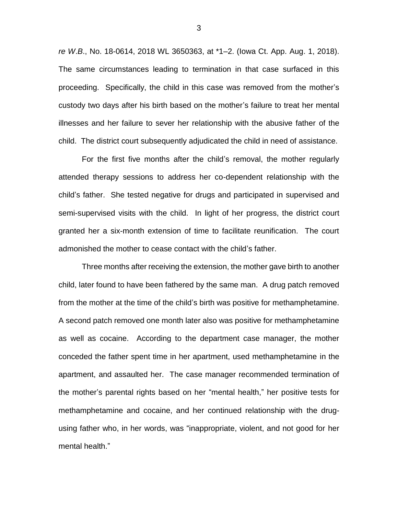*re W*.*B*., No. 18-0614, 2018 WL 3650363, at \*1–2. (Iowa Ct. App. Aug. 1, 2018). The same circumstances leading to termination in that case surfaced in this proceeding. Specifically, the child in this case was removed from the mother's custody two days after his birth based on the mother's failure to treat her mental illnesses and her failure to sever her relationship with the abusive father of the child. The district court subsequently adjudicated the child in need of assistance.

For the first five months after the child's removal, the mother regularly attended therapy sessions to address her co-dependent relationship with the child's father. She tested negative for drugs and participated in supervised and semi-supervised visits with the child. In light of her progress, the district court granted her a six-month extension of time to facilitate reunification. The court admonished the mother to cease contact with the child's father.

Three months after receiving the extension, the mother gave birth to another child, later found to have been fathered by the same man. A drug patch removed from the mother at the time of the child's birth was positive for methamphetamine. A second patch removed one month later also was positive for methamphetamine as well as cocaine. According to the department case manager, the mother conceded the father spent time in her apartment, used methamphetamine in the apartment, and assaulted her. The case manager recommended termination of the mother's parental rights based on her "mental health," her positive tests for methamphetamine and cocaine, and her continued relationship with the drugusing father who, in her words, was "inappropriate, violent, and not good for her mental health."

3